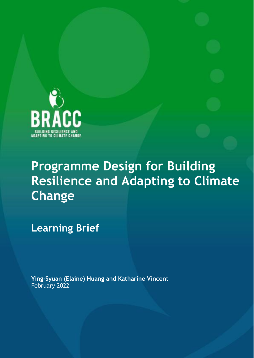

## **Programme Design for Building Resilience and Adapting to Climate Change**

**Learning Brief**

**Ying-Syuan (Elaine) Huang and Katharine Vincent** February 2022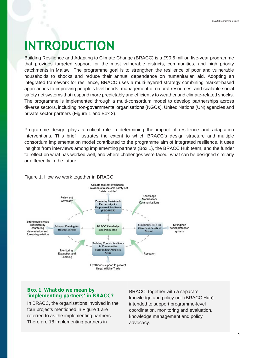# **INTRODUCTION**

Building Resilience and Adapting to Climate Change (BRACC) is a £90.6 million five-year programme that provides targeted support for the most vulnerable districts, communities, and high priority catchments in Malawi. The programme goal is to strengthen the resilience of poor and vulnerable households to shocks and reduce their annual dependence on humanitarian aid. Adopting an integrated framework for resilience, BRACC uses a multi-layered strategy combining market-based approaches to improving people's livelihoods, management of natural resources, and scalable social safety net systems that respond more predictably and efficiently to weather and climate-related shocks. The programme is implemented through a multi-consortium model to develop partnerships across diverse sectors, including non-governmental organisations (NGOs), United Nations (UN) agencies and private sector partners (Figure 1 and Box 2).

Programme design plays a critical role in determining the impact of resilience and adaptation interventions. This brief illustrates the extent to which BRACC's design structure and multiple consortium implementation model contributed to the programme aim of integrated resilience. It uses insights from interviews among implementing partners (Box 1), the BRACC Hub team, and the funder to reflect on what has worked well, and where challenges were faced, what can be designed similarly or differently in the future.



#### Figure 1. How we work together in BRACC

#### **Box 1. What do we mean by 'implementing partners' in BRACC?**

In BRACC, the organisations involved in the four projects mentioned in Figure 1 are referred to as the implementing partners. There are 18 implementing partners in

BRACC, together with a separate knowledge and policy unit (BRACC Hub) intended to support programme-level coordination, monitoring and evaluation, knowledge management and policy advocacy.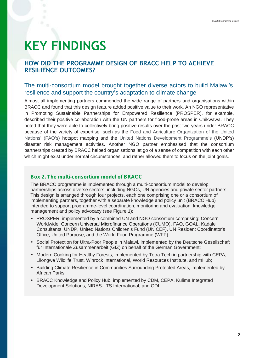# **KEY FINDINGS**

## **HOW DID THE PROGRAMME DESIGN OF BRACC HELP TO ACHIEVE RESILIENCE OUTCOMES?**

#### The multi-consortium model brought together diverse actors to build Malawi's resilience and support the country's adaptation to climate change

Almost all implementing partners commended the wide range of partners and organisations within BRACC and found that this design feature added positive value to their work. An NGO representative in Promoting Sustainable Partnerships for Empowered Resilience (PROSPER), for example, described their positive collaboration with the UN partners for flood-prone areas in Chikwawa. They noted that they were able to collectively bring positive results over the past two years under BRACC because of the variety of expertise, such as the Food and Agriculture Organization of the United Nations' (FAO's) hotspot mapping and the United Nations Development Programme's (UNDP's) disaster risk management activities. Another NGO partner emphasised that the consortium partnerships created by BRACC helped organisations let go of a sense of competition with each other which might exist under normal circumstances, and rather allowed them to focus on the joint goals.

#### **Box 2. The multi-consortium model of BRACC**

The BRACC programme is implemented through a multi-consortium model to develop partnerships across diverse sectors, including NGOs, UN agencies and private sector partners. This design is arranged through four projects, each one comprising one or a consortium of implementing partners, together with a separate knowledge and policy unit (BRACC Hub) intended to support programme-level coordination, monitoring and evaluation, knowledge management and policy advocacy (see Figure 1):

- PROSPER, implemented by a combined UN and NGO consortium comprising: Concern Worldwide, Concern Universal Microfinance Operations (CUMO), FAO, GOAL, Kadale Consultants, UNDP, United Nations Children's Fund (UNICEF), UN Resident Coordinator's Office, United Purpose, and the World Food Programme (WFP);
- Social Protection for Ultra-Poor People in Malawi, implemented by the Deutsche Gesellschaft für Internationale Zusammenarbeit (GIZ) on behalf of the German Government;
- Modern Cooking for Healthy Forests, implemented by Tetra Tech in partnership with CEPA, Lilongwe Wildlife Trust, Winrock International, World Resources Institute, and mHub;
- Building Climate Resilience in Communities Surrounding Protected Areas, implemented by African Parks;
- BRACC Knowledge and Policy Hub, implemented by CDM, CEPA, Kulima Integrated Development Solutions, NIRAS-LTS International, and ODI.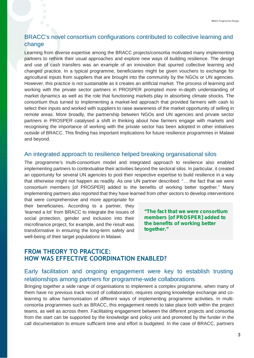#### BRACC's novel consortium configurations contributed to collective learning and change

Learning from diverse expertise among the BRACC projects/consortia motivated many implementing partners to rethink their usual approaches and explore new ways of building resilience. The design and use of cash transfers was an example of an innovation that spurred collective learning and changed practice. In a typical programme, beneficiaries might be given vouchers to exchange for agricultural inputs from suppliers that are brought into the community by the NGOs or UN agencies. However, this practice is not sustainable as it creates an artificial market. The process of learning and working with the private sector partners in PROSPER prompted more in-depth understanding of market dynamics as well as the role that functioning markets play in absorbing climate shocks. The consortium thus turned to implementing a market-led approach that provided farmers with cash to select their inputs and worked with suppliers to raise awareness of the market opportunity of selling in remote areas. More broadly, the partnership between NGOs and UN agencies and private sector partners in PROSPER catalysed a shift in thinking about how farmers engage with markets and recognising the importance of working with the private sector has been adopted in other initiatives outside of BRACC. This finding has important implications for future resilience programmes in Malawi and beyond.

#### An integrated approach to resilience helped breaking organisational silos

The programme's multi-consortium model and integrated approach to resilience also enabled implementing partners to contextualise their activities beyond the sectoral silos. In particular, it created an opportunity for several UN agencies to pool their respective expertise to build resilience in a way that otherwise might not happen as readily. As one UN partner described: "… the fact that we were consortium members [of PROSPER] added to the benefits of working better together." Many implementing partners also reported that they have learned from other sectors to develop interventions

that were comprehensive and more appropriate for their beneficiaries. According to a partner, they 'learned a lot' from BRACC to integrate the issues of social protection, gender and inclusion into their microfinance project, for example, and the result was transformative in ensuring the long-term safety and well-being of their target populations in Malawi.

**"The fact that we were consortium members [of PROSPER] added to the benefits of working better together."**

## **FROM THEORY TO PRACTICE: HOW WAS EFFECTIVE COORDINATION ENABLED?**

#### Early facilitation and ongoing engagement were key to establish trusting relationships among partners for programme-wide collaborations

Bringing together a wide range of organisations to implement a complex programme, when many of them have no previous track record of collaboration, requires ongoing knowledge exchange and colearning to allow harmonisation of different ways of implementing programme activities. In multi consortia programmes such as BRACC, this engagement needs to take place both within the project teams, as well as across them. Facilitating engagement between the different projects and consortia from the start can be supported by the knowledge and policy unit and promoted by the funder in the call documentation to ensure sufficient time and effort is budgeted. In the case of BRACC, partners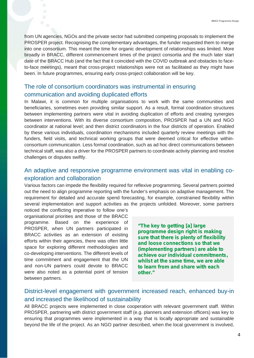from UN agencies, NGOs and the private sector had submitted competing proposals to implement the PROSPER project. Recognising the complementary advantages, the funder requested them to merge into one consortium. This meant the time for organic development of relationships was limited. More broadly in BRACC, different commencement times of the project consortia and the much later start date of the BRACC Hub (and the fact that it coincided with the COVID outbreak and obstacles to faceto-face meetings), meant that cross-project relationships were not as facilitated as they might have been. In future programmes, ensuring early cross-project collaboration will be key.

## The role of consortium coordinators was instrumental in ensuring communication and avoiding duplicated efforts

In Malawi, it is common for multiple organisations to work with the same communities and beneficiaries, sometimes even providing similar support. As a result, formal coordination structures between implementing partners were vital in avoiding duplication of efforts and creating synergies between interventions. With its diverse consortium composition, PROSPER had a UN and NGO coordinator at national level; and then district coordinators in the four districts of operation. Enabled by these various individuals, coordination mechanisms included quarterly review meetings with the funders, field visits, and technical working groups that were deemed critical for effective within consortium communication. Less formal coordination, such as ad hoc direct communications between technical staff, was also a driver for the PROSPER partners to coordinate activity planning and resolve challenges or disputes swiftly.

## An adaptive and responsive programme environment was vital in enabling co exploration and collaboration

Various factors can impede the flexibility required for reflexive programming. Several partners pointed out the need to align programme reporting with the funder's emphasis on adaptive management. The requirement for detailed and accurate spend forecasting, for example, constrained flexibility within several implementation and support activities as the projects unfolded. Moreover, some partners

noticed the conflicting imperative to follow one's organisational priorities and those of the BRACC programme. Based on the experience of PROSPER, when UN partners participated in BRACC activities as an extension of existing efforts within their agencies, there was often little space for exploring different methodologies and co-developing interventions. The different levels of time commitment and engagement that the UN and non-UN partners could devote to BRACC were also noted as a potential point of tension between partners.

**"The key to getting [a] large programme design right is making sure that there is plenty of flexibility and loose connections so that we (implementing partners) are able to achieve our individual commitments, whilst at the same time, we are able to learn from and share with each other."**

## District-level engagement with government increased reach, enhanced buy-in and increased the likelihood of sustainability

All BRACC projects were implemented in close cooperation with relevant government staff. Within PROSPER, partnering with district government staff (e.g. planners and extension officers) was key to ensuring that programmes were implemented in a way that is locally appropriate and sustainable beyond the life of the project. As an NGO partner described, when the local government is involved,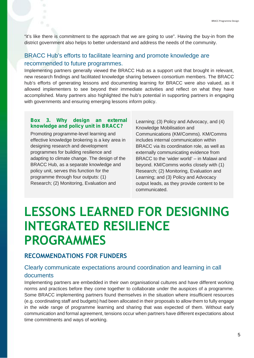"it's like there is commitment to the approach that we are going to use". Having the buy-in from the district government also helps to better understand and address the needs of the community.

## BRACC Hub's efforts to facilitate learning and promote knowledge are recommended to future programmes.

Implementing partners generally viewed the BRACC Hub as a support unit that brought in relevant, new research findings and facilitated knowledge sharing between consortium members. The BRACC hub's efforts of generating lessons and documenting learning for BRACC were also valued, as it allowed implementers to see beyond their immediate activities and reflect on what they have accomplished. Many partners also highlighted the hub's potential in supporting partners in engaging with governments and ensuring emerging lessons inform policy.

#### **Box 3. Why design an external knowledge and policy unit in BRACC?**

Promoting programme-level learning and effective knowledge brokering is a key area in designing research and development programmes for building resilience and adapting to climate change. The design of the BRACC Hub, as a separate knowledge and policy unit, serves this function for the programme through four outputs: (1) Research; (2) Monitoring, Evaluation and

Learning; (3) Policy and Advocacy, and (4) Knowledge Mobilisation and Communications (KM/Comms). KM/Comms includes internal communication within BRACC via its coordination role, as well as externally communicating evidence from BRACC to the 'wider world' – in Malawi and beyond. KM/Comms works closely with (1) Research; (2) Monitoring, Evaluation and Learning; and (3) Policy and Advocacy output leads, as they provide content to be communicated.

## **LESSONS LEARNED FOR DESIGNING INTEGRATED RESILIENCE PROGRAMMES**

## **RECOMMENDATIONS FOR FUNDERS**

## Clearly communicate expectations around coordination and learning in call documents

Implementing partners are embedded in their own organisational cultures and have different working norms and practices before they come together to collaborate under the auspices of a programme. Some BRACC implementing partners found themselves in the situation where insufficient resources (e.g. coordinating staff and budgets) had been allocated in their proposals to allow them to fully engage in the wide range of programme learning and sharing that was expected of them. Without early communication and formal agreement, tensions occur when partners have different expectations about time commitments and ways of working.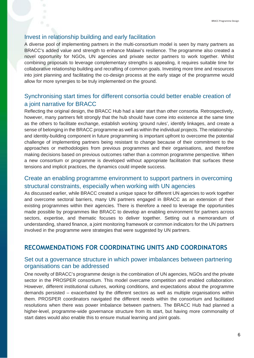#### Invest in relationship building and early facilitation

A diverse pool of implementing partners in the multi-consortium model is seen by many partners as BRACC's added value and strength to enhance Malawi's resilience. The programme also created a novel opportunity for NGOs, UN agencies and private sector partners to work together. Whilst combining proposals to leverage complementary strengths is appealing, it requires suitable time for collaborative relationship building and recrafting of common goals. Investing more time and resources into joint planning and facilitating the co-design process at the early stage of the programme would allow for more synergies to be truly implemented on the ground.

## Synchronising start times for different consortia could better enable creation of a joint narrative for BRACC

Reflecting the original design, the BRACC Hub had a later start than other consortia. Retrospectively, however, many partners felt strongly that the hub should have come into existence at the same time as the others to facilitate exchange, establish working 'ground rules', identify linkages, and create a sense of belonging in the BRACC programme as well as within the individual projects. The relationship and identity-building component in future programming is important upfront to overcome the potential challenge of implementing partners being resistant to change because of their commitment to the approaches or methodologies from previous programmes and their organisations, and therefore making decisions based on previous outcomes rather than a common programme perspective. When a new consortium or programme is developed without appropriate facilitation that surfaces these tensions and implicit practices, the dynamics could impede success.

#### Create an enabling programme environment to support partners in overcoming structural constraints, especially when working with UN agencies

As discussed earlier, while BRACC created a unique space for different UN agencies to work together and overcome sectoral barriers, many UN partners engaged in BRACC as an extension of their existing programmes within their agencies. There is therefore a need to leverage the opportunities made possible by programmes like BRACC to develop an enabling environment for partners across sectors, expertise, and thematic focuses to deliver together. Setting out a memorandum of understanding, shared finance, a joint monitoring framework or common indicators for the UN partners involved in the programme were strategies that were suggested by UN partners.

## **RECOMMENDATIONS FOR COORDINATING UNITS AND COORDINATORS**

#### Set out a governance structure in which power imbalances between partnering organisations can be addressed

One novelty of BRACC's programme design is the combination of UN agencies, NGOs and the private sector in the PROSPER consortium. This model overcame competition and enabled collaboration. However, different institutional cultures, working conditions, and expectations about the programme demands persisted – exacerbated by the different sectors as well as multiple organisations within them. PROSPER coordinators navigated the different needs within the consortium and facilitated resolutions when there was power imbalance between partners. The BRACC Hub had planned a higher-level, programme-wide governance structure from its start, but having more commonality of start dates would also enable this to ensure mutual learning and joint goals.